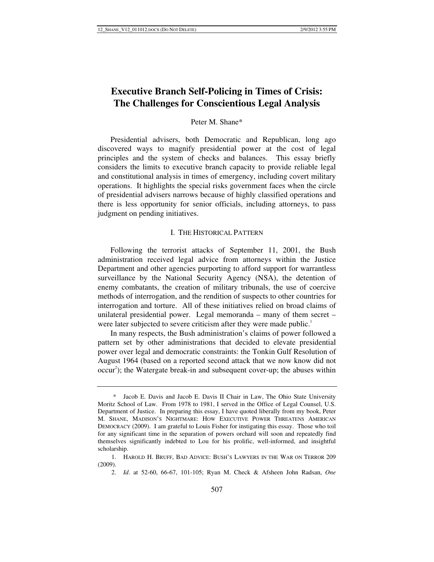# **Executive Branch Self-Policing in Times of Crisis: The Challenges for Conscientious Legal Analysis**

# Peter M. Shane\*

Presidential advisers, both Democratic and Republican, long ago discovered ways to magnify presidential power at the cost of legal principles and the system of checks and balances. This essay briefly considers the limits to executive branch capacity to provide reliable legal and constitutional analysis in times of emergency, including covert military operations. It highlights the special risks government faces when the circle of presidential advisers narrows because of highly classified operations and there is less opportunity for senior officials, including attorneys, to pass judgment on pending initiatives.

#### I. THE HISTORICAL PATTERN

Following the terrorist attacks of September 11, 2001, the Bush administration received legal advice from attorneys within the Justice Department and other agencies purporting to afford support for warrantless surveillance by the National Security Agency (NSA), the detention of enemy combatants, the creation of military tribunals, the use of coercive methods of interrogation, and the rendition of suspects to other countries for interrogation and torture. All of these initiatives relied on broad claims of unilateral presidential power. Legal memoranda – many of them secret – were later subjected to severe criticism after they were made public.<sup>1</sup>

In many respects, the Bush administration's claims of power followed a pattern set by other administrations that decided to elevate presidential power over legal and democratic constraints: the Tonkin Gulf Resolution of August 1964 (based on a reported second attack that we now know did not  $\text{occur}^2$ ); the Watergate break-in and subsequent cover-up; the abuses within

 <sup>\*</sup> Jacob E. Davis and Jacob E. Davis II Chair in Law, The Ohio State University Moritz School of Law. From 1978 to 1981, I served in the Office of Legal Counsel, U.S. Department of Justice. In preparing this essay, I have quoted liberally from my book, Peter M. SHANE, MADISON'S NIGHTMARE: HOW EXECUTIVE POWER THREATENS AMERICAN DEMOCRACY (2009). I am grateful to Louis Fisher for instigating this essay. Those who toil for any significant time in the separation of powers orchard will soon and repeatedly find themselves significantly indebted to Lou for his prolific, well-informed, and insightful scholarship.

 <sup>1.</sup> HAROLD H. BRUFF, BAD ADVICE: BUSH'S LAWYERS IN THE WAR ON TERROR 209 (2009).

<sup>2.</sup> *Id*. at 52-60, 66-67, 101-105; Ryan M. Check & Afsheen John Radsan, *One*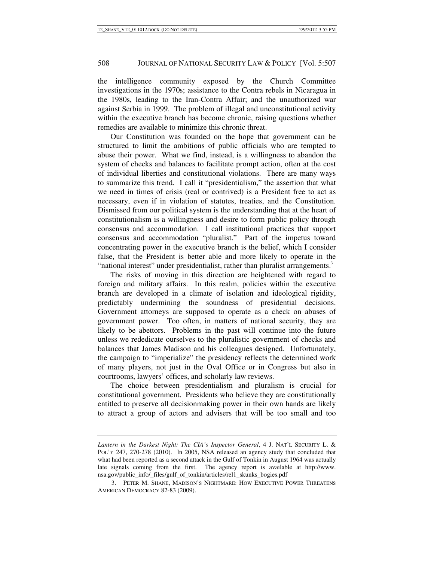the intelligence community exposed by the Church Committee investigations in the 1970s; assistance to the Contra rebels in Nicaragua in the 1980s, leading to the Iran-Contra Affair; and the unauthorized war against Serbia in 1999. The problem of illegal and unconstitutional activity within the executive branch has become chronic, raising questions whether remedies are available to minimize this chronic threat.

Our Constitution was founded on the hope that government can be structured to limit the ambitions of public officials who are tempted to abuse their power. What we find, instead, is a willingness to abandon the system of checks and balances to facilitate prompt action, often at the cost of individual liberties and constitutional violations. There are many ways to summarize this trend. I call it "presidentialism," the assertion that what we need in times of crisis (real or contrived) is a President free to act as necessary, even if in violation of statutes, treaties, and the Constitution. Dismissed from our political system is the understanding that at the heart of constitutionalism is a willingness and desire to form public policy through consensus and accommodation. I call institutional practices that support consensus and accommodation "pluralist." Part of the impetus toward concentrating power in the executive branch is the belief, which I consider false, that the President is better able and more likely to operate in the "national interest" under presidentialist, rather than pluralist arrangements.<sup>3</sup>

The risks of moving in this direction are heightened with regard to foreign and military affairs. In this realm, policies within the executive branch are developed in a climate of isolation and ideological rigidity, predictably undermining the soundness of presidential decisions. Government attorneys are supposed to operate as a check on abuses of government power. Too often, in matters of national security, they are likely to be abettors. Problems in the past will continue into the future unless we rededicate ourselves to the pluralistic government of checks and balances that James Madison and his colleagues designed. Unfortunately, the campaign to "imperialize" the presidency reflects the determined work of many players, not just in the Oval Office or in Congress but also in courtrooms, lawyers' offices, and scholarly law reviews.

The choice between presidentialism and pluralism is crucial for constitutional government. Presidents who believe they are constitutionally entitled to preserve all decisionmaking power in their own hands are likely to attract a group of actors and advisers that will be too small and too

*Lantern in the Darkest Night: The CIA's Inspector General*, 4 J. NAT'L SECURITY L. & POL'Y 247, 270-278 (2010). In 2005, NSA released an agency study that concluded that what had been reported as a second attack in the Gulf of Tonkin in August 1964 was actually late signals coming from the first. The agency report is available at http://www. nsa.gov/public\_info/\_files/gulf\_of\_tonkin/articles/rel1\_skunks\_bogies.pdf

 <sup>3.</sup> PETER M. SHANE, MADISON'S NIGHTMARE: HOW EXECUTIVE POWER THREATENS AMERICAN DEMOCRACY 82-83 (2009).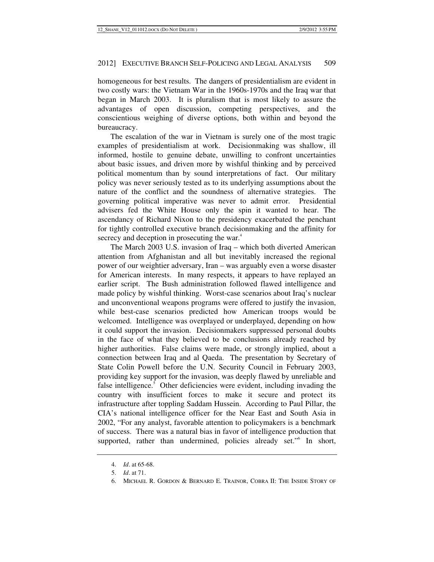homogeneous for best results. The dangers of presidentialism are evident in two costly wars: the Vietnam War in the 1960s-1970s and the Iraq war that began in March 2003. It is pluralism that is most likely to assure the advantages of open discussion, competing perspectives, and the conscientious weighing of diverse options, both within and beyond the bureaucracy.

The escalation of the war in Vietnam is surely one of the most tragic examples of presidentialism at work. Decisionmaking was shallow, ill informed, hostile to genuine debate, unwilling to confront uncertainties about basic issues, and driven more by wishful thinking and by perceived political momentum than by sound interpretations of fact. Our military policy was never seriously tested as to its underlying assumptions about the nature of the conflict and the soundness of alternative strategies. The governing political imperative was never to admit error. Presidential advisers fed the White House only the spin it wanted to hear. The ascendancy of Richard Nixon to the presidency exacerbated the penchant for tightly controlled executive branch decisionmaking and the affinity for secrecy and deception in prosecuting the war.<sup>4</sup>

The March 2003 U.S. invasion of Iraq – which both diverted American attention from Afghanistan and all but inevitably increased the regional power of our weightier adversary, Iran – was arguably even a worse disaster for American interests. In many respects, it appears to have replayed an earlier script. The Bush administration followed flawed intelligence and made policy by wishful thinking. Worst-case scenarios about Iraq's nuclear and unconventional weapons programs were offered to justify the invasion, while best-case scenarios predicted how American troops would be welcomed. Intelligence was overplayed or underplayed, depending on how it could support the invasion. Decisionmakers suppressed personal doubts in the face of what they believed to be conclusions already reached by higher authorities. False claims were made, or strongly implied, about a connection between Iraq and al Qaeda. The presentation by Secretary of State Colin Powell before the U.N. Security Council in February 2003, providing key support for the invasion, was deeply flawed by unreliable and false intelligence.<sup>5</sup> Other deficiencies were evident, including invading the country with insufficient forces to make it secure and protect its infrastructure after toppling Saddam Hussein. According to Paul Pillar, the CIA's national intelligence officer for the Near East and South Asia in 2002, "For any analyst, favorable attention to policymakers is a benchmark of success. There was a natural bias in favor of intelligence production that supported, rather than undermined, policies already set."<sup>6</sup> In short,

<sup>4.</sup> *Id*. at 65-68.

 <sup>5.</sup> *Id*. at 71.

 <sup>6.</sup> MICHAEL R. GORDON & BERNARD E. TRAINOR, COBRA II: THE INSIDE STORY OF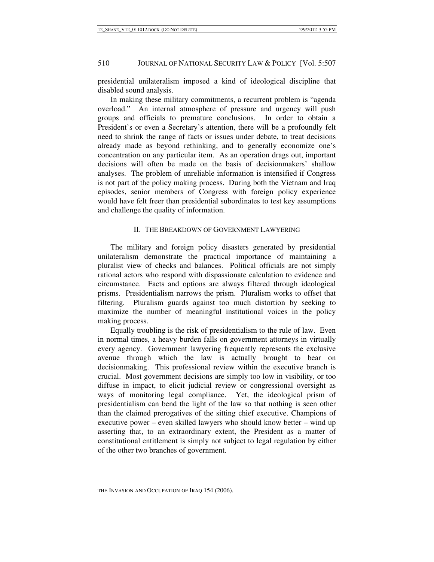presidential unilateralism imposed a kind of ideological discipline that disabled sound analysis.

In making these military commitments, a recurrent problem is "agenda overload." An internal atmosphere of pressure and urgency will push groups and officials to premature conclusions. In order to obtain a President's or even a Secretary's attention, there will be a profoundly felt need to shrink the range of facts or issues under debate, to treat decisions already made as beyond rethinking, and to generally economize one's concentration on any particular item. As an operation drags out, important decisions will often be made on the basis of decisionmakers' shallow analyses. The problem of unreliable information is intensified if Congress is not part of the policy making process. During both the Vietnam and Iraq episodes, senior members of Congress with foreign policy experience would have felt freer than presidential subordinates to test key assumptions and challenge the quality of information.

### II. THE BREAKDOWN OF GOVERNMENT LAWYERING

The military and foreign policy disasters generated by presidential unilateralism demonstrate the practical importance of maintaining a pluralist view of checks and balances. Political officials are not simply rational actors who respond with dispassionate calculation to evidence and circumstance. Facts and options are always filtered through ideological prisms. Presidentialism narrows the prism. Pluralism works to offset that filtering. Pluralism guards against too much distortion by seeking to maximize the number of meaningful institutional voices in the policy making process.

Equally troubling is the risk of presidentialism to the rule of law. Even in normal times, a heavy burden falls on government attorneys in virtually every agency. Government lawyering frequently represents the exclusive avenue through which the law is actually brought to bear on decisionmaking. This professional review within the executive branch is crucial. Most government decisions are simply too low in visibility, or too diffuse in impact, to elicit judicial review or congressional oversight as ways of monitoring legal compliance. Yet, the ideological prism of presidentialism can bend the light of the law so that nothing is seen other than the claimed prerogatives of the sitting chief executive. Champions of executive power – even skilled lawyers who should know better – wind up asserting that, to an extraordinary extent, the President as a matter of constitutional entitlement is simply not subject to legal regulation by either of the other two branches of government.

THE INVASION AND OCCUPATION OF IRAQ 154 (2006).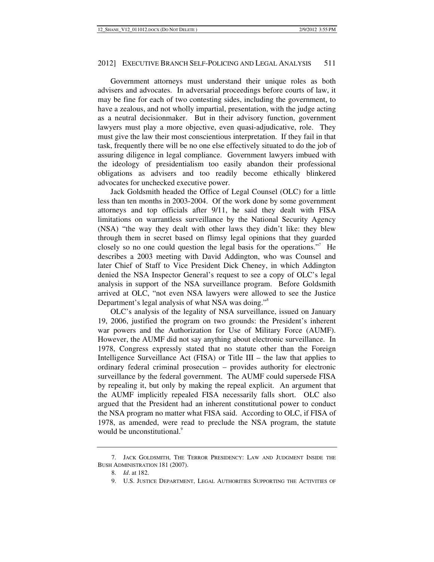Government attorneys must understand their unique roles as both advisers and advocates. In adversarial proceedings before courts of law, it may be fine for each of two contesting sides, including the government, to have a zealous, and not wholly impartial, presentation, with the judge acting as a neutral decisionmaker. But in their advisory function, government lawyers must play a more objective, even quasi-adjudicative, role. They must give the law their most conscientious interpretation. If they fail in that task, frequently there will be no one else effectively situated to do the job of assuring diligence in legal compliance. Government lawyers imbued with the ideology of presidentialism too easily abandon their professional obligations as advisers and too readily become ethically blinkered advocates for unchecked executive power.

Jack Goldsmith headed the Office of Legal Counsel (OLC) for a little less than ten months in 2003-2004. Of the work done by some government attorneys and top officials after 9/11, he said they dealt with FISA limitations on warrantless surveillance by the National Security Agency (NSA) "the way they dealt with other laws they didn't like: they blew through them in secret based on flimsy legal opinions that they guarded closely so no one could question the legal basis for the operations."<sup>7</sup> He describes a 2003 meeting with David Addington, who was Counsel and later Chief of Staff to Vice President Dick Cheney, in which Addington denied the NSA Inspector General's request to see a copy of OLC's legal analysis in support of the NSA surveillance program. Before Goldsmith arrived at OLC, "not even NSA lawyers were allowed to see the Justice Department's legal analysis of what NSA was doing."<sup>8</sup>

OLC's analysis of the legality of NSA surveillance, issued on January 19, 2006, justified the program on two grounds: the President's inherent war powers and the Authorization for Use of Military Force (AUMF). However, the AUMF did not say anything about electronic surveillance. In 1978, Congress expressly stated that no statute other than the Foreign Intelligence Surveillance Act (FISA) or Title III – the law that applies to ordinary federal criminal prosecution – provides authority for electronic surveillance by the federal government. The AUMF could supersede FISA by repealing it, but only by making the repeal explicit. An argument that the AUMF implicitly repealed FISA necessarily falls short. OLC also argued that the President had an inherent constitutional power to conduct the NSA program no matter what FISA said. According to OLC, if FISA of 1978, as amended, were read to preclude the NSA program, the statute would be unconstitutional.<sup>9</sup>

 <sup>7.</sup> JACK GOLDSMITH, THE TERROR PRESIDENCY: LAW AND JUDGMENT INSIDE THE BUSH ADMINISTRATION 181 (2007).

<sup>8.</sup> *Id*. at 182.

 <sup>9.</sup> U.S. JUSTICE DEPARTMENT, LEGAL AUTHORITIES SUPPORTING THE ACTIVITIES OF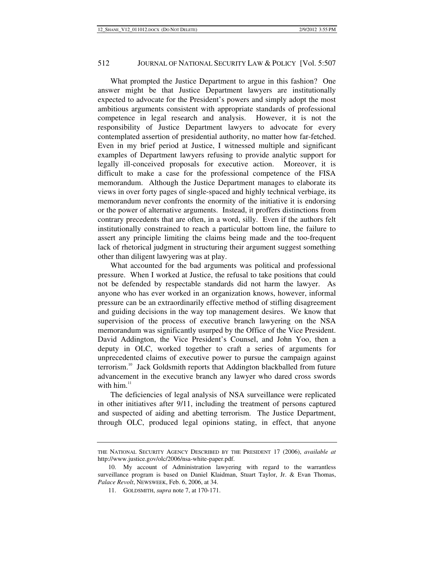What prompted the Justice Department to argue in this fashion? One answer might be that Justice Department lawyers are institutionally expected to advocate for the President's powers and simply adopt the most ambitious arguments consistent with appropriate standards of professional competence in legal research and analysis. However, it is not the responsibility of Justice Department lawyers to advocate for every contemplated assertion of presidential authority, no matter how far-fetched. Even in my brief period at Justice, I witnessed multiple and significant examples of Department lawyers refusing to provide analytic support for legally ill-conceived proposals for executive action. Moreover, it is difficult to make a case for the professional competence of the FISA memorandum. Although the Justice Department manages to elaborate its views in over forty pages of single-spaced and highly technical verbiage, its memorandum never confronts the enormity of the initiative it is endorsing or the power of alternative arguments. Instead, it proffers distinctions from contrary precedents that are often, in a word, silly. Even if the authors felt institutionally constrained to reach a particular bottom line, the failure to assert any principle limiting the claims being made and the too-frequent lack of rhetorical judgment in structuring their argument suggest something other than diligent lawyering was at play.

What accounted for the bad arguments was political and professional pressure. When I worked at Justice, the refusal to take positions that could not be defended by respectable standards did not harm the lawyer. As anyone who has ever worked in an organization knows, however, informal pressure can be an extraordinarily effective method of stifling disagreement and guiding decisions in the way top management desires. We know that supervision of the process of executive branch lawyering on the NSA memorandum was significantly usurped by the Office of the Vice President. David Addington, the Vice President's Counsel, and John Yoo, then a deputy in OLC, worked together to craft a series of arguments for unprecedented claims of executive power to pursue the campaign against terrorism.<sup>10</sup> Jack Goldsmith reports that Addington blackballed from future advancement in the executive branch any lawyer who dared cross swords with  $him.<sup>11</sup>$ 

The deficiencies of legal analysis of NSA surveillance were replicated in other initiatives after 9/11, including the treatment of persons captured and suspected of aiding and abetting terrorism. The Justice Department, through OLC, produced legal opinions stating, in effect, that anyone

THE NATIONAL SECURITY AGENCY DESCRIBED BY THE PRESIDENT 17 (2006), *available at* http://www.justice.gov/olc/2006/nsa-white-paper.pdf.

 <sup>10.</sup> My account of Administration lawyering with regard to the warrantless surveillance program is based on Daniel Klaidman, Stuart Taylor, Jr. & Evan Thomas, *Palace Revolt*, NEWSWEEK, Feb. 6, 2006, at 34.

 <sup>11.</sup> GOLDSMITH, *supra* note 7, at 170-171.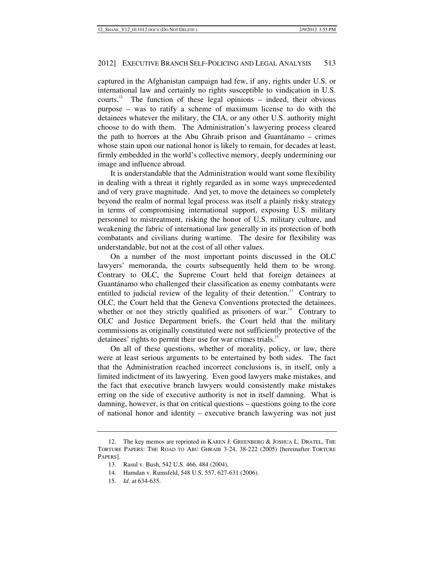captured in the Afghanistan campaign had few, if any, rights under U.S. or international law and certainly no rights susceptible to vindication in U.S. courts.<sup>12</sup> The function of these legal opinions – indeed, their obvious purpose – was to ratify a scheme of maximum license to do with the detainees whatever the military, the CIA, or any other U.S. authority might choose to do with them. The Administration's lawyering process cleared the path to horrors at the Abu Ghraib prison and Guantánamo – crimes whose stain upon our national honor is likely to remain, for decades at least, firmly embedded in the world's collective memory, deeply undermining our image and influence abroad.

It is understandable that the Administration would want some flexibility in dealing with a threat it rightly regarded as in some ways unprecedented and of very grave magnitude. And yet, to move the detainees so completely beyond the realm of normal legal process was itself a plainly risky strategy in terms of compromising international support, exposing U.S. military personnel to mistreatment, risking the honor of U.S. military culture, and weakening the fabric of international law generally in its protection of both combatants and civilians during wartime. The desire for flexibility was understandable, but not at the cost of all other values.

On a number of the most important points discussed in the OLC lawyers' memoranda, the courts subsequently held them to be wrong. Contrary to OLC, the Supreme Court held that foreign detainees at Guantánamo who challenged their classification as enemy combatants were entitled to judicial review of the legality of their detention.<sup>13</sup> Contrary to OLC, the Court held that the Geneva Conventions protected the detainees, whether or not they strictly qualified as prisoners of war.<sup>14</sup> Contrary to OLC and Justice Department briefs, the Court held that the military commissions as originally constituted were not sufficiently protective of the detainees' rights to permit their use for war crimes trials.<sup>15</sup>

On all of these questions, whether of morality, policy, or law, there were at least serious arguments to be entertained by both sides. The fact that the Administration reached incorrect conclusions is, in itself, only a limited indictment of its lawyering. Even good lawyers make mistakes, and the fact that executive branch lawyers would consistently make mistakes erring on the side of executive authority is not in itself damning. What is damning, however, is that on critical questions – questions going to the core of national honor and identity – executive branch lawyering was not just

 <sup>12.</sup> The key memos are reprinted in KAREN J. GREENBERG & JOSHUA L. DRATEL, THE TORTURE PAPERS: THE ROAD TO ABU GHRAIB 3-24, 38-222 (2005) [hereinafter TORTURE PAPERS].

 <sup>13.</sup> Rasul v. Bush, 542 U.S. 466, 484 (2004).

 <sup>14.</sup> Hamdan v. Rumsfeld, 548 U.S. 557, 627-631 (2006).

<sup>15.</sup> *Id*. at 634-635.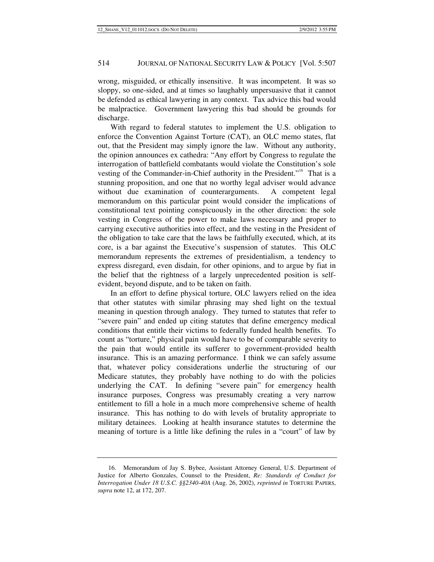wrong, misguided, or ethically insensitive. It was incompetent. It was so sloppy, so one-sided, and at times so laughably unpersuasive that it cannot be defended as ethical lawyering in any context. Tax advice this bad would be malpractice. Government lawyering this bad should be grounds for discharge.

With regard to federal statutes to implement the U.S. obligation to enforce the Convention Against Torture (CAT), an OLC memo states, flat out, that the President may simply ignore the law. Without any authority, the opinion announces ex cathedra: "Any effort by Congress to regulate the interrogation of battlefield combatants would violate the Constitution's sole vesting of the Commander-in-Chief authority in the President."<sup>16</sup> That is a stunning proposition, and one that no worthy legal adviser would advance without due examination of counterarguments. A competent legal memorandum on this particular point would consider the implications of constitutional text pointing conspicuously in the other direction: the sole vesting in Congress of the power to make laws necessary and proper to carrying executive authorities into effect, and the vesting in the President of the obligation to take care that the laws be faithfully executed, which, at its core, is a bar against the Executive's suspension of statutes. This OLC memorandum represents the extremes of presidentialism, a tendency to express disregard, even disdain, for other opinions, and to argue by fiat in the belief that the rightness of a largely unprecedented position is selfevident, beyond dispute, and to be taken on faith.

In an effort to define physical torture, OLC lawyers relied on the idea that other statutes with similar phrasing may shed light on the textual meaning in question through analogy. They turned to statutes that refer to "severe pain" and ended up citing statutes that define emergency medical conditions that entitle their victims to federally funded health benefits. To count as "torture," physical pain would have to be of comparable severity to the pain that would entitle its sufferer to government-provided health insurance. This is an amazing performance. I think we can safely assume that, whatever policy considerations underlie the structuring of our Medicare statutes, they probably have nothing to do with the policies underlying the CAT. In defining "severe pain" for emergency health insurance purposes, Congress was presumably creating a very narrow entitlement to fill a hole in a much more comprehensive scheme of health insurance. This has nothing to do with levels of brutality appropriate to military detainees. Looking at health insurance statutes to determine the meaning of torture is a little like defining the rules in a "court" of law by

 <sup>16.</sup> Memorandum of Jay S. Bybee, Assistant Attorney General, U.S. Department of Justice for Alberto Gonzales, Counsel to the President, *Re: Standards of Conduct for Interrogation Under 18 U.S.C. §§2340-40A* (Aug. 26, 2002), *reprinted in* TORTURE PAPERS, *supra* note 12, at 172, 207.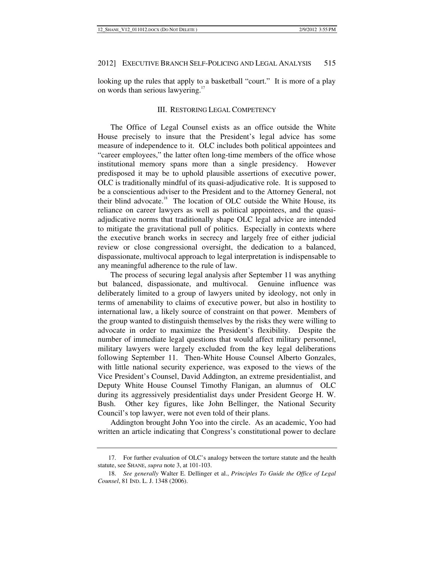looking up the rules that apply to a basketball "court." It is more of a play on words than serious lawyering.<sup>17</sup>

#### III. RESTORING LEGAL COMPETENCY

The Office of Legal Counsel exists as an office outside the White House precisely to insure that the President's legal advice has some measure of independence to it. OLC includes both political appointees and "career employees," the latter often long-time members of the office whose institutional memory spans more than a single presidency. However predisposed it may be to uphold plausible assertions of executive power, OLC is traditionally mindful of its quasi-adjudicative role. It is supposed to be a conscientious adviser to the President and to the Attorney General, not their blind advocate.<sup>18</sup> The location of OLC outside the White House, its reliance on career lawyers as well as political appointees, and the quasiadjudicative norms that traditionally shape OLC legal advice are intended to mitigate the gravitational pull of politics. Especially in contexts where the executive branch works in secrecy and largely free of either judicial review or close congressional oversight, the dedication to a balanced, dispassionate, multivocal approach to legal interpretation is indispensable to any meaningful adherence to the rule of law.

The process of securing legal analysis after September 11 was anything but balanced, dispassionate, and multivocal. Genuine influence was deliberately limited to a group of lawyers united by ideology, not only in terms of amenability to claims of executive power, but also in hostility to international law, a likely source of constraint on that power. Members of the group wanted to distinguish themselves by the risks they were willing to advocate in order to maximize the President's flexibility. Despite the number of immediate legal questions that would affect military personnel, military lawyers were largely excluded from the key legal deliberations following September 11. Then-White House Counsel Alberto Gonzales, with little national security experience, was exposed to the views of the Vice President's Counsel, David Addington, an extreme presidentialist, and Deputy White House Counsel Timothy Flanigan, an alumnus of OLC during its aggressively presidentialist days under President George H. W. Bush. Other key figures, like John Bellinger, the National Security Council's top lawyer, were not even told of their plans.

Addington brought John Yoo into the circle. As an academic, Yoo had written an article indicating that Congress's constitutional power to declare

 <sup>17.</sup> For further evaluation of OLC's analogy between the torture statute and the health statute, see SHANE, *supra* note 3, at 101-103.

 <sup>18.</sup> *See generally* Walter E. Dellinger et al., *Principles To Guide the Office of Legal Counsel*, 81 IND. L. J. 1348 (2006).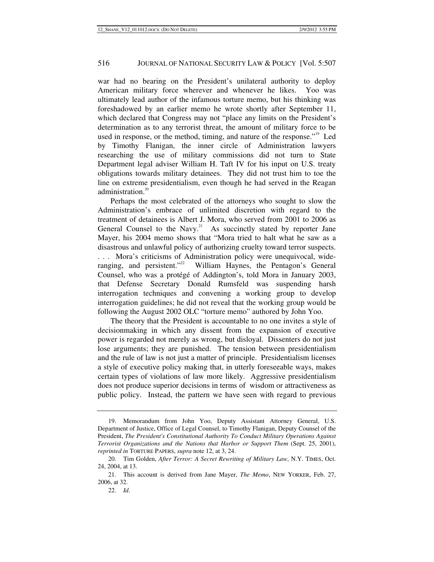war had no bearing on the President's unilateral authority to deploy American military force wherever and whenever he likes. Yoo was ultimately lead author of the infamous torture memo, but his thinking was foreshadowed by an earlier memo he wrote shortly after September 11, which declared that Congress may not "place any limits on the President's determination as to any terrorist threat, the amount of military force to be used in response, or the method, timing, and nature of the response."<sup>19</sup> Led by Timothy Flanigan, the inner circle of Administration lawyers researching the use of military commissions did not turn to State Department legal adviser William H. Taft IV for his input on U.S. treaty obligations towards military detainees. They did not trust him to toe the line on extreme presidentialism, even though he had served in the Reagan administration.<sup>20</sup>

Perhaps the most celebrated of the attorneys who sought to slow the Administration's embrace of unlimited discretion with regard to the treatment of detainees is Albert J. Mora, who served from 2001 to 2006 as General Counsel to the Navy.<sup>21</sup> As succinctly stated by reporter Jane Mayer, his 2004 memo shows that "Mora tried to halt what he saw as a disastrous and unlawful policy of authorizing cruelty toward terror suspects. . . . Mora's criticisms of Administration policy were unequivocal, wideranging, and persistent."<sup>22</sup> William Haynes, the Pentagon's General Counsel, who was a protégé of Addington's, told Mora in January 2003, that Defense Secretary Donald Rumsfeld was suspending harsh interrogation techniques and convening a working group to develop interrogation guidelines; he did not reveal that the working group would be following the August 2002 OLC "torture memo" authored by John Yoo.

The theory that the President is accountable to no one invites a style of decisionmaking in which any dissent from the expansion of executive power is regarded not merely as wrong, but disloyal. Dissenters do not just lose arguments; they are punished. The tension between presidentialism and the rule of law is not just a matter of principle. Presidentialism licenses a style of executive policy making that, in utterly foreseeable ways, makes certain types of violations of law more likely. Aggressive presidentialism does not produce superior decisions in terms of wisdom or attractiveness as public policy. Instead, the pattern we have seen with regard to previous

 <sup>19.</sup> Memorandum from John Yoo, Deputy Assistant Attorney General, U.S. Department of Justice, Office of Legal Counsel, to Timothy Flanigan, Deputy Counsel of the President, *The President's Constitutional Authority To Conduct Military Operations Against Terrorist Organizations and the Nations that Harbor or Support Them* (Sept. 25, 2001), *reprinted in* TORTURE PAPERS, *supra* note 12, at 3, 24.

 <sup>20.</sup> Tim Golden, *After Terror: A Secret Rewriting of Military Law*, N.Y. TIMES, Oct. 24, 2004, at 13.

 <sup>21.</sup> This account is derived from Jane Mayer, *The Memo*, NEW YORKER, Feb. 27, 2006, at 32.

<sup>22.</sup> *Id*.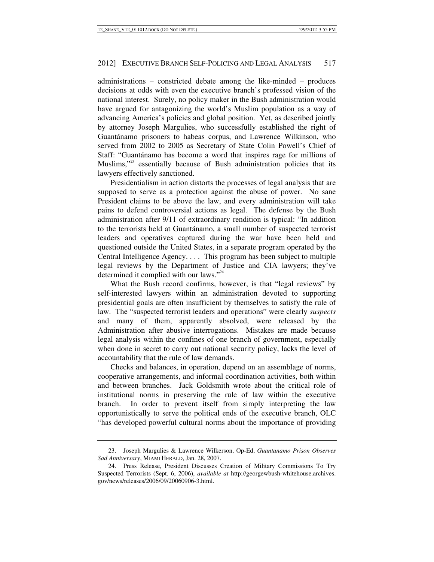administrations – constricted debate among the like-minded – produces decisions at odds with even the executive branch's professed vision of the national interest. Surely, no policy maker in the Bush administration would have argued for antagonizing the world's Muslim population as a way of advancing America's policies and global position. Yet, as described jointly by attorney Joseph Margulies, who successfully established the right of Guantánamo prisoners to habeas corpus, and Lawrence Wilkinson, who served from 2002 to 2005 as Secretary of State Colin Powell's Chief of Staff: "Guantánamo has become a word that inspires rage for millions of Muslims,"<sup>23</sup> essentially because of Bush administration policies that its lawyers effectively sanctioned.

Presidentialism in action distorts the processes of legal analysis that are supposed to serve as a protection against the abuse of power. No sane President claims to be above the law, and every administration will take pains to defend controversial actions as legal. The defense by the Bush administration after 9/11 of extraordinary rendition is typical: "In addition to the terrorists held at Guantánamo, a small number of suspected terrorist leaders and operatives captured during the war have been held and questioned outside the United States, in a separate program operated by the Central Intelligence Agency. . . . This program has been subject to multiple legal reviews by the Department of Justice and CIA lawyers; they've determined it complied with our laws."24

What the Bush record confirms, however, is that "legal reviews" by self-interested lawyers within an administration devoted to supporting presidential goals are often insufficient by themselves to satisfy the rule of law. The "suspected terrorist leaders and operations" were clearly *suspects* and many of them, apparently absolved, were released by the Administration after abusive interrogations. Mistakes are made because legal analysis within the confines of one branch of government, especially when done in secret to carry out national security policy, lacks the level of accountability that the rule of law demands.

Checks and balances, in operation, depend on an assemblage of norms, cooperative arrangements, and informal coordination activities, both within and between branches. Jack Goldsmith wrote about the critical role of institutional norms in preserving the rule of law within the executive branch. In order to prevent itself from simply interpreting the law opportunistically to serve the political ends of the executive branch, OLC "has developed powerful cultural norms about the importance of providing

 <sup>23.</sup> Joseph Margulies & Lawrence Wilkerson, Op-Ed, *Guantanamo Prison Observes Sad Anniversary*, MIAMI HERALD, Jan. 28, 2007.

 <sup>24.</sup> Press Release, President Discusses Creation of Military Commissions To Try Suspected Terrorists (Sept. 6, 2006), *available at* http://georgewbush-whitehouse.archives. gov/news/releases/2006/09/20060906-3.html.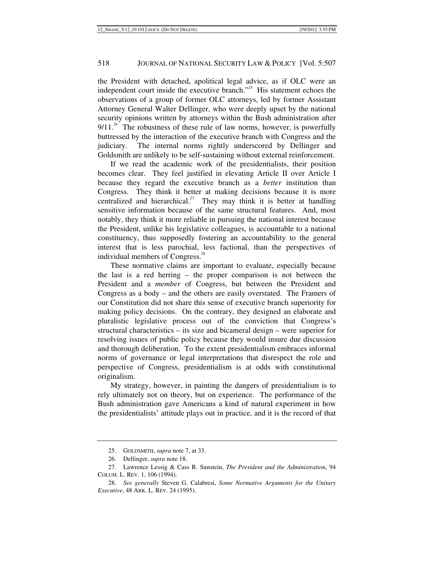the President with detached, apolitical legal advice, as if OLC were an independent court inside the executive branch."<sup>25</sup> His statement echoes the observations of a group of former OLC attorneys, led by former Assistant Attorney General Walter Dellinger, who were deeply upset by the national security opinions written by attorneys within the Bush administration after  $9/11$ <sup>26</sup>. The robustness of these rule of law norms, however, is powerfully buttressed by the interaction of the executive branch with Congress and the judiciary. The internal norms rightly underscored by Dellinger and Goldsmith are unlikely to be self-sustaining without external reinforcement.

If we read the academic work of the presidentialists, their position becomes clear. They feel justified in elevating Article II over Article I because they regard the executive branch as a *better* institution than Congress. They think it better at making decisions because it is more centralized and hierarchical.<sup>27</sup> They may think it is better at handling sensitive information because of the same structural features. And, most notably, they think it more reliable in pursuing the national interest because the President, unlike his legislative colleagues, is accountable to a national constituency, thus supposedly fostering an accountability to the general interest that is less parochial, less factional, than the perspectives of individual members of Congress.<sup>28</sup>

These normative claims are important to evaluate, especially because the last is a red herring – the proper comparison is not between the President and a *member* of Congress, but between the President and Congress as a body – and the others are easily overstated. The Framers of our Constitution did not share this sense of executive branch superiority for making policy decisions. On the contrary, they designed an elaborate and pluralistic legislative process out of the conviction that Congress's structural characteristics – its size and bicameral design – were superior for resolving issues of public policy because they would insure due discussion and thorough deliberation. To the extent presidentialism embraces informal norms of governance or legal interpretations that disrespect the role and perspective of Congress, presidentialism is at odds with constitutional originalism.

My strategy, however, in painting the dangers of presidentialism is to rely ultimately not on theory, but on experience. The performance of the Bush administration gave Americans a kind of natural experiment in how the presidentialists' attitude plays out in practice, and it is the record of that

 <sup>25.</sup> GOLDSMITH, *supra* note 7, at 33.

 <sup>26.</sup> Dellinger, *supra* note 18.

 <sup>27.</sup> Lawrence Lessig & Cass R. Sunstein, *The President and the Administration*, 94 COLUM. L. REV. 1, 106 (1994).

 <sup>28.</sup> *See generally* Steven G. Calabresi, *Some Normative Arguments for the Unitary Executive*, 48 ARK. L. REV. 24 (1995).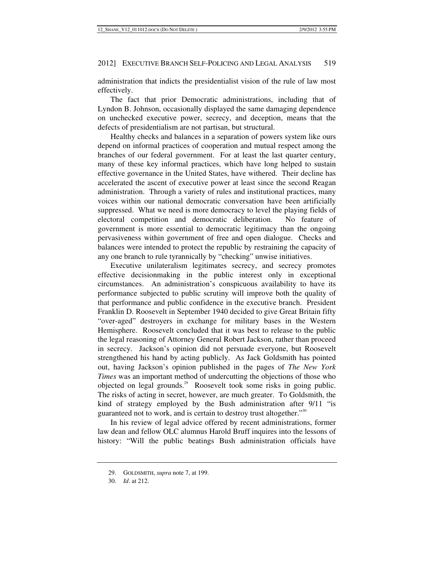administration that indicts the presidentialist vision of the rule of law most effectively.

The fact that prior Democratic administrations, including that of Lyndon B. Johnson, occasionally displayed the same damaging dependence on unchecked executive power, secrecy, and deception, means that the defects of presidentialism are not partisan, but structural.

Healthy checks and balances in a separation of powers system like ours depend on informal practices of cooperation and mutual respect among the branches of our federal government. For at least the last quarter century, many of these key informal practices, which have long helped to sustain effective governance in the United States, have withered. Their decline has accelerated the ascent of executive power at least since the second Reagan administration. Through a variety of rules and institutional practices, many voices within our national democratic conversation have been artificially suppressed. What we need is more democracy to level the playing fields of electoral competition and democratic deliberation. No feature of government is more essential to democratic legitimacy than the ongoing pervasiveness within government of free and open dialogue. Checks and balances were intended to protect the republic by restraining the capacity of any one branch to rule tyrannically by "checking" unwise initiatives.

Executive unilateralism legitimates secrecy, and secrecy promotes effective decisionmaking in the public interest only in exceptional circumstances. An administration's conspicuous availability to have its performance subjected to public scrutiny will improve both the quality of that performance and public confidence in the executive branch. President Franklin D. Roosevelt in September 1940 decided to give Great Britain fifty "over-aged" destroyers in exchange for military bases in the Western Hemisphere. Roosevelt concluded that it was best to release to the public the legal reasoning of Attorney General Robert Jackson, rather than proceed in secrecy. Jackson's opinion did not persuade everyone, but Roosevelt strengthened his hand by acting publicly. As Jack Goldsmith has pointed out, having Jackson's opinion published in the pages of *The New York Times* was an important method of undercutting the objections of those who objected on legal grounds.<sup>29</sup> Roosevelt took some risks in going public. The risks of acting in secret, however, are much greater. To Goldsmith, the kind of strategy employed by the Bush administration after 9/11 "is guaranteed not to work, and is certain to destroy trust altogether."<sup>30</sup>

In his review of legal advice offered by recent administrations, former law dean and fellow OLC alumnus Harold Bruff inquires into the lessons of history: "Will the public beatings Bush administration officials have

 <sup>29.</sup> GOLDSMITH, *supra* note 7, at 199.

 <sup>30.</sup> *Id*. at 212.